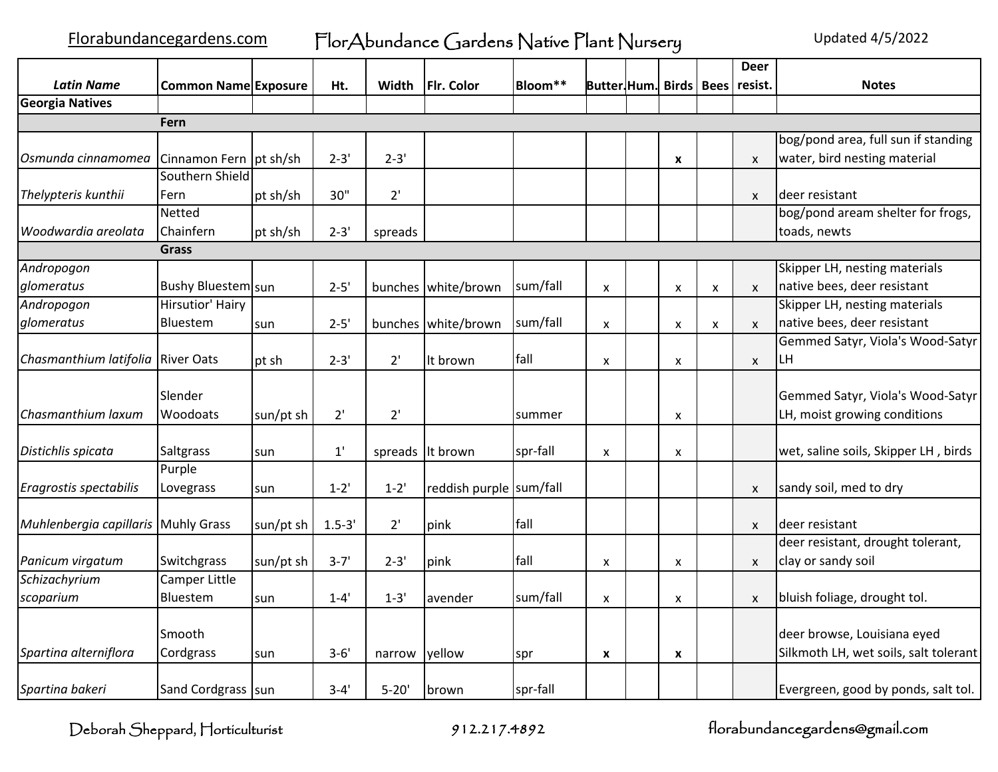|                                     |                             |           |              |           |                         |                     |                           |   |                    | <b>Deer</b>  |                                       |
|-------------------------------------|-----------------------------|-----------|--------------|-----------|-------------------------|---------------------|---------------------------|---|--------------------|--------------|---------------------------------------|
| <b>Latin Name</b>                   | <b>Common Name Exposure</b> |           | Ht.          | Width     | Flr. Color              | Bloom <sup>**</sup> | Butter Hum. Birds   Bees  |   |                    | resist.      | <b>Notes</b>                          |
| <b>Georgia Natives</b>              |                             |           |              |           |                         |                     |                           |   |                    |              |                                       |
|                                     | Fern                        |           |              |           |                         |                     |                           |   |                    |              |                                       |
|                                     |                             |           |              |           |                         |                     |                           |   |                    |              | bog/pond area, full sun if standing   |
| Osmunda cinnamomea                  | Cinnamon Fern   pt sh/sh    |           | $2 - 3'$     | $2 - 3'$  |                         |                     |                           | X |                    | $\mathsf{x}$ | water, bird nesting material          |
|                                     | Southern Shield             |           |              |           |                         |                     |                           |   |                    |              |                                       |
| Thelypteris kunthii                 | Fern                        | pt sh/sh  | 30"          | 2'        |                         |                     |                           |   |                    | $\mathsf{x}$ | deer resistant                        |
|                                     | <b>Netted</b>               |           |              |           |                         |                     |                           |   |                    |              | bog/pond aream shelter for frogs,     |
| Woodwardia areolata                 | Chainfern                   | pt sh/sh  | $2 - 3'$     | spreads   |                         |                     |                           |   |                    |              | toads, newts                          |
|                                     | <b>Grass</b>                |           |              |           |                         |                     |                           |   |                    |              |                                       |
| Andropogon                          |                             |           |              |           |                         |                     |                           |   |                    |              | Skipper LH, nesting materials         |
| glomeratus                          | Bushy Bluestem sun          |           | $2 - 5'$     | bunches   | white/brown             | sum/fall            | X                         | X | $\pmb{\mathsf{x}}$ | $\mathsf{x}$ | native bees, deer resistant           |
| Andropogon                          | Hirsutior' Hairy            |           |              |           |                         |                     |                           |   |                    |              | Skipper LH, nesting materials         |
| glomeratus                          | Bluestem                    | sun       | $2 - 5'$     |           | bunches white/brown     | sum/fall            | X                         | X | X                  | X            | native bees, deer resistant           |
|                                     |                             |           |              |           |                         |                     |                           |   |                    |              | Gemmed Satyr, Viola's Wood-Satyr      |
| Chasmanthium latifolia River Oats   |                             | pt sh     | $2 - 3'$     | 2'        | It brown                | fall                | X                         | X |                    | X            | ILН                                   |
|                                     |                             |           |              |           |                         |                     |                           |   |                    |              |                                       |
|                                     | Slender                     |           |              |           |                         |                     |                           |   |                    |              | Gemmed Satyr, Viola's Wood-Satyr      |
| Chasmanthium laxum                  | <b>Woodoats</b>             | sun/pt sh | 2'           | 2'        |                         | summer              |                           | X |                    |              | LH, moist growing conditions          |
| Distichlis spicata                  | <b>Saltgrass</b>            | sun       | $1^{\prime}$ | spreads   | It brown                | spr-fall            | X                         | X |                    |              | wet, saline soils, Skipper LH, birds  |
|                                     | Purple                      |           |              |           |                         |                     |                           |   |                    |              |                                       |
| Eragrostis spectabilis              | Lovegrass                   | sun       | $1 - 2'$     | $1 - 2'$  | reddish purple sum/fall |                     |                           |   |                    | X            | sandy soil, med to dry                |
|                                     |                             |           |              |           |                         |                     |                           |   |                    |              |                                       |
| Muhlenbergia capillaris Muhly Grass |                             | sun/pt sh | $1.5 - 3'$   | 2'        | pink                    | fall                |                           |   |                    | $\mathsf{x}$ | deer resistant                        |
|                                     | Switchgrass                 |           |              |           |                         | fall                |                           |   |                    |              | deer resistant, drought tolerant,     |
| Panicum virgatum                    |                             | sun/pt sh | $3 - 7'$     | $2 - 3'$  | pink                    |                     | $\boldsymbol{\mathsf{x}}$ | X |                    | $\mathsf{x}$ | clay or sandy soil                    |
| Schizachyrium                       | Camper Little               |           |              | $1 - 3'$  |                         | sum/fall            |                           |   |                    |              |                                       |
| scoparium                           | Bluestem                    | sun       | $1 - 4'$     |           | avender                 |                     | X                         | X |                    | $\mathsf{x}$ | bluish foliage, drought tol.          |
|                                     | ISmooth                     |           |              |           |                         |                     |                           |   |                    |              | deer browse, Louisiana eyed           |
| Spartina alterniflora               | Cordgrass                   | sun       | $3 - 6'$     | narrow    | yellow                  | spr                 | X                         | X |                    |              | Silkmoth LH, wet soils, salt tolerant |
|                                     |                             |           |              |           |                         |                     |                           |   |                    |              |                                       |
| Spartina bakeri                     | Sand Cordgrass sun          |           | $3 - 4'$     | $5 - 20'$ | brown                   | spr-fall            |                           |   |                    |              | Evergreen, good by ponds, salt tol.   |

Deborah Sheppard, Horticulturist 912.217.4892 florabundancegardens@gmail.com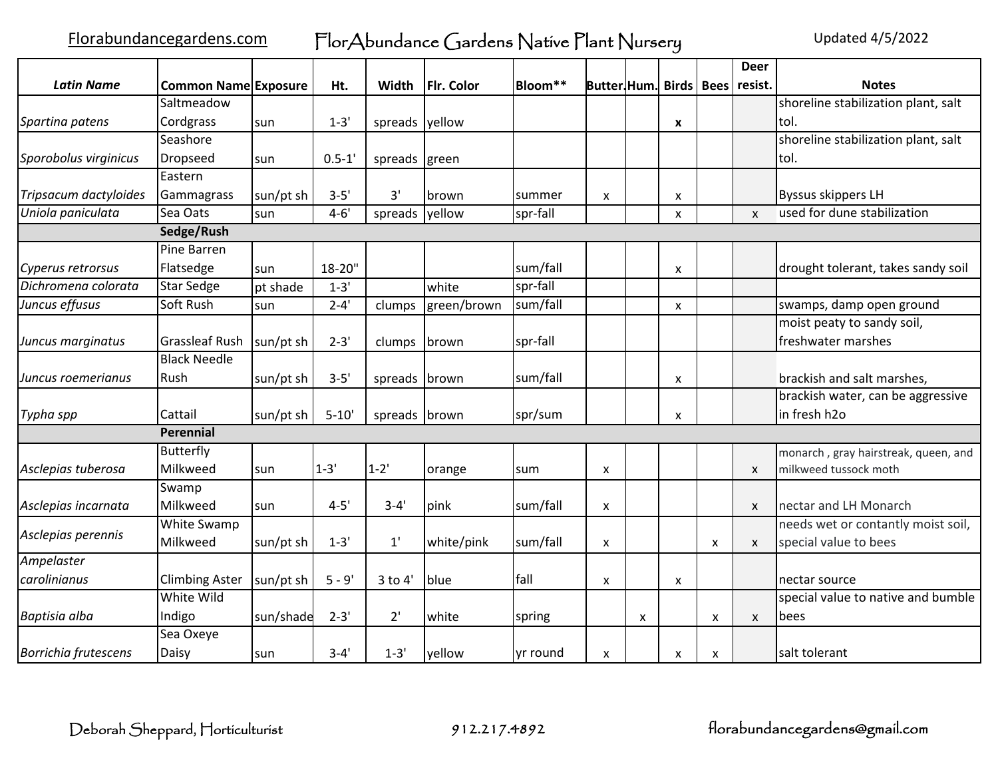Florabundancegardens.com FlorAbundance Gardens Native Plant Nursery Updated 4/5/2022

|                             |                             |           |            |               |             |          |                          |   |                           |   | <b>Deer</b>  |                                      |
|-----------------------------|-----------------------------|-----------|------------|---------------|-------------|----------|--------------------------|---|---------------------------|---|--------------|--------------------------------------|
| <b>Latin Name</b>           | <b>Common Name Exposure</b> |           | Ht.        | Width         | Flr. Color  | Bloom**  | <b>Butter Hum.</b> Birds |   |                           |   | Bees resist. | <b>Notes</b>                         |
|                             | Saltmeadow                  |           |            |               |             |          |                          |   |                           |   |              | shoreline stabilization plant, salt  |
| Spartina patens             | Cordgrass                   | sun       | $1 - 3'$   | spreads       | yellow      |          |                          |   | X                         |   |              | ltol.                                |
|                             | Seashore                    |           |            |               |             |          |                          |   |                           |   |              | shoreline stabilization plant, salt  |
| Sporobolus virginicus       | <b>Dropseed</b>             | sun       | $0.5 - 1'$ | spreads green |             |          |                          |   |                           |   |              | tol.                                 |
|                             | Eastern                     |           |            |               |             |          |                          |   |                           |   |              |                                      |
| Tripsacum dactyloides       | Gammagrass                  | sun/pt sh | $3 - 5'$   | 3'            | brown       | summer   | X                        |   | X                         |   |              | Byssus skippers LH                   |
| Uniola paniculata           | Sea Oats                    | sun       | $4 - 6'$   | spreads       | yellow      | spr-fall |                          |   | $\boldsymbol{\mathsf{x}}$ |   | $\mathsf{x}$ | used for dune stabilization          |
|                             | Sedge/Rush                  |           |            |               |             |          |                          |   |                           |   |              |                                      |
|                             | Pine Barren                 |           |            |               |             |          |                          |   |                           |   |              |                                      |
| Cyperus retrorsus           | Flatsedge                   | sun       | 18-20"     |               |             | sum/fall |                          |   | X                         |   |              | drought tolerant, takes sandy soil   |
| Dichromena colorata         | <b>Star Sedge</b>           | pt shade  | $1 - 3'$   |               | white       | spr-fall |                          |   |                           |   |              |                                      |
| Juncus effusus              | Soft Rush                   | sun       | $2 - 4'$   | clumps        | green/brown | sum/fall |                          |   | X                         |   |              | swamps, damp open ground             |
|                             |                             |           |            |               |             |          |                          |   |                           |   |              | moist peaty to sandy soil,           |
| Juncus marginatus           | <b>Grassleaf Rush</b>       | sun/pt sh | $2 - 3'$   | clumps        | brown       | spr-fall |                          |   |                           |   |              | freshwater marshes                   |
|                             | <b>Black Needle</b>         |           |            |               |             |          |                          |   |                           |   |              |                                      |
| Juncus roemerianus          | Rush                        | sun/pt sh | $3 - 5'$   | spreads       | brown       | sum/fall |                          |   | X                         |   |              | brackish and salt marshes,           |
|                             |                             |           |            |               |             |          |                          |   |                           |   |              | brackish water, can be aggressive    |
| Typha spp                   | Cattail                     | sun/pt sh | $5 - 10'$  | spreads       | brown       | spr/sum  |                          |   | X                         |   |              | in fresh h2o                         |
|                             | Perennial                   |           |            |               |             |          |                          |   |                           |   |              |                                      |
|                             | Butterfly                   |           |            |               |             |          |                          |   |                           |   |              | monarch, gray hairstreak, queen, and |
| Asclepias tuberosa          | Milkweed                    | sun       | $1 - 3'$   | $1 - 2'$      | orange      | sum      | X                        |   |                           |   | X            | milkweed tussock moth                |
|                             | Swamp                       |           |            |               |             |          |                          |   |                           |   |              |                                      |
| Asclepias incarnata         | Milkweed                    | sun       | $4 - 5'$   | $3 - 4'$      | pink        | sum/fall | X                        |   |                           |   | X            | nectar and LH Monarch                |
|                             | White Swamp                 |           |            |               |             |          |                          |   |                           |   |              | needs wet or contantly moist soil,   |
| Asclepias perennis          | Milkweed                    | sun/pt sh | $1 - 3'$   | 1'            | white/pink  | sum/fall | X                        |   |                           | X | X            | special value to bees                |
| Ampelaster                  |                             |           |            |               |             |          |                          |   |                           |   |              |                                      |
| carolinianus                | <b>Climbing Aster</b>       | sun/pt sh | $5 - 9'$   | 3 to 4'       | blue        | fall     | X                        |   | X                         |   |              | nectar source                        |
|                             | White Wild                  |           |            |               |             |          |                          |   |                           |   |              | special value to native and bumble   |
| Baptisia alba               | Indigo                      | sun/shade | $2 - 3'$   | 2'            | white       | spring   |                          | X |                           | X | X            | lbees                                |
|                             | Sea Oxeye                   |           |            |               |             |          |                          |   |                           |   |              |                                      |
| <b>Borrichia frutescens</b> | Daisy                       | sun       | $3 - 4'$   | $1 - 3'$      | yellow      | yr round | X                        |   | X                         | X |              | salt tolerant                        |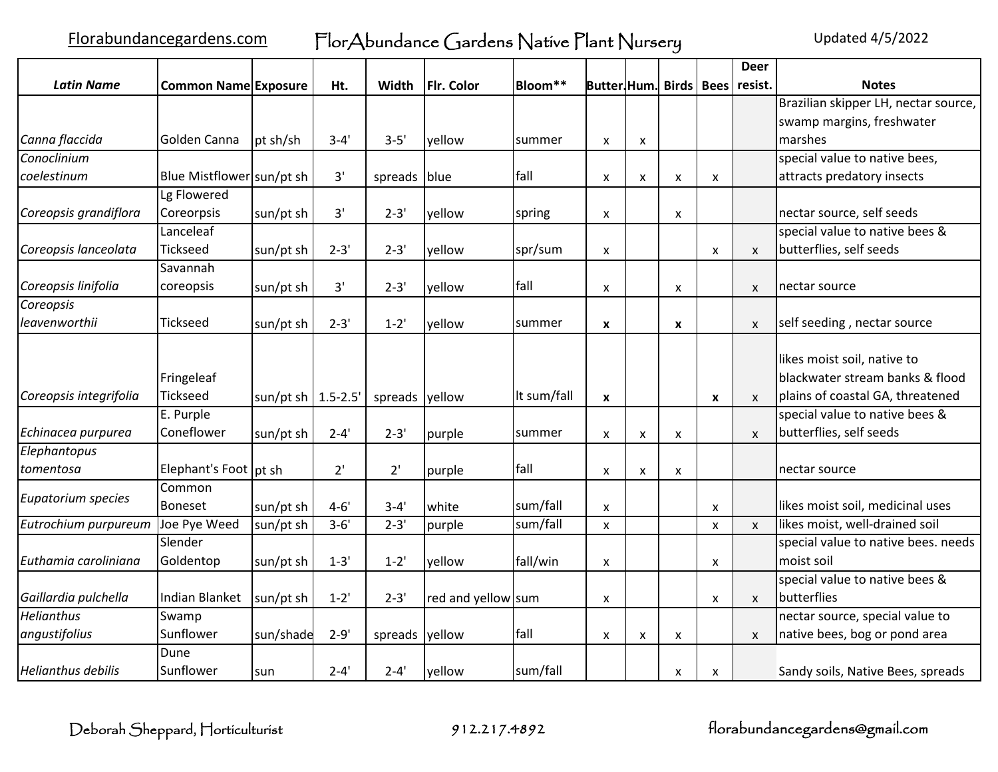|                           |                               |                       |          |                |                    |             |                                    |   |                  |                           | <b>Deer</b>  |                                                                                                    |
|---------------------------|-------------------------------|-----------------------|----------|----------------|--------------------|-------------|------------------------------------|---|------------------|---------------------------|--------------|----------------------------------------------------------------------------------------------------|
| <b>Latin Name</b>         | <b>Common Name Exposure</b>   |                       | Ht.      | Width          | <b>Fir. Color</b>  | Bloom**     | Butter Hum. Birds   Bees   resist. |   |                  |                           |              | <b>Notes</b>                                                                                       |
|                           |                               |                       |          |                |                    |             |                                    |   |                  |                           |              | Brazilian skipper LH, nectar source,                                                               |
|                           |                               |                       |          |                |                    |             |                                    |   |                  |                           |              | swamp margins, freshwater                                                                          |
| Canna flaccida            | <b>Golden Canna</b>           | pt sh/sh              | $3 - 4'$ | $3 - 5'$       | yellow             | summer      | x                                  | X |                  |                           |              | marshes                                                                                            |
| Conoclinium               |                               |                       |          |                |                    |             |                                    |   |                  |                           |              | special value to native bees,                                                                      |
| coelestinum               | Blue Mistflower sun/pt sh     |                       | 3'       | spreads blue   |                    | fall        | x                                  | X | X                | X                         |              | attracts predatory insects                                                                         |
|                           | Lg Flowered                   |                       |          |                |                    |             |                                    |   |                  |                           |              |                                                                                                    |
| Coreopsis grandiflora     | Coreorpsis                    | sun/pt sh             | 3'       | $2 - 3'$       | yellow             | spring      | x                                  |   | X                |                           |              | nectar source, self seeds                                                                          |
|                           | Lanceleaf                     |                       |          |                |                    |             |                                    |   |                  |                           |              | special value to native bees &                                                                     |
| Coreopsis lanceolata      | <b>Tickseed</b>               | sun/pt sh             | $2 - 3'$ | $2 - 3'$       | yellow             | spr/sum     | X                                  |   |                  | $\boldsymbol{\mathsf{x}}$ | $\mathsf{x}$ | butterflies, self seeds                                                                            |
|                           | Savannah                      |                       |          |                |                    |             |                                    |   |                  |                           |              |                                                                                                    |
| Coreopsis linifolia       | coreopsis                     | sun/pt sh             | 3'       | $2 - 3'$       | yellow             | fall        | X                                  |   | X                |                           | X            | nectar source                                                                                      |
| Coreopsis                 |                               |                       |          |                |                    |             |                                    |   |                  |                           |              |                                                                                                    |
| leavenworthii             | <b>Tickseed</b>               | sun/pt sh             | $2 - 3'$ | $1 - 2'$       | yellow             | summer      | X                                  |   | $\boldsymbol{x}$ |                           | X            | self seeding, nectar source                                                                        |
| Coreopsis integrifolia    | Fringeleaf<br><b>Tickseed</b> | sun/pt sh $ 1.5-2.5 $ |          | spreads yellow |                    | It sum/fall | X                                  |   |                  | X                         | $\mathsf{x}$ | likes moist soil, native to<br>blackwater stream banks & flood<br>plains of coastal GA, threatened |
|                           | E. Purple                     |                       |          |                |                    |             |                                    |   |                  |                           |              | special value to native bees &                                                                     |
| Echinacea purpurea        | Coneflower                    | sun/pt sh             | $2 - 4'$ | $2 - 3'$       | purple             | summer      | x                                  | X | X                |                           | X            | butterflies, self seeds                                                                            |
| Elephantopus              |                               |                       |          |                |                    |             |                                    |   |                  |                           |              |                                                                                                    |
| tomentosa                 | Elephant's Foot pt sh         |                       | 2'       | 2'             | purple             | fall        | x                                  | X | X                |                           |              | nectar source                                                                                      |
| Eupatorium species        | Common<br><b>Boneset</b>      | sun/pt sh             | $4 - 6'$ | $3 - 4'$       | white              | sum/fall    | $\boldsymbol{\mathsf{x}}$          |   |                  | X                         |              | likes moist soil, medicinal uses                                                                   |
| Eutrochium purpureum      | Joe Pye Weed                  | sun/pt sh             | $3 - 6'$ | $2 - 3'$       | purple             | sum/fall    | X                                  |   |                  | $\boldsymbol{\mathsf{x}}$ | $\mathsf{x}$ | likes moist, well-drained soil                                                                     |
|                           | Slender                       |                       |          |                |                    |             |                                    |   |                  |                           |              | special value to native bees. needs                                                                |
| Euthamia caroliniana      | Goldentop                     | sun/pt sh             | $1 - 3'$ | $1 - 2'$       | yellow             | fall/win    | X                                  |   |                  | X                         |              | moist soil                                                                                         |
| Gaillardia pulchella      | Indian Blanket                | sun/pt sh             | $1 - 2'$ | $2 - 3'$       | red and yellow sum |             | x                                  |   |                  | $\boldsymbol{\mathsf{x}}$ | X            | special value to native bees &<br>butterflies                                                      |
| <b>Helianthus</b>         | Swamp                         |                       |          |                |                    |             |                                    |   |                  |                           |              | nectar source, special value to                                                                    |
| angustifolius             | Sunflower                     | sun/shade             | $2 - 9'$ | spreads yellow |                    | fall        | x                                  | X | X                |                           | X            | native bees, bog or pond area                                                                      |
| <b>Helianthus debilis</b> | Dune<br>Sunflower             | sun                   | $2 - 4'$ | $2 - 4'$       | yellow             | sum/fall    |                                    |   | X                | X                         |              | Sandy soils, Native Bees, spreads                                                                  |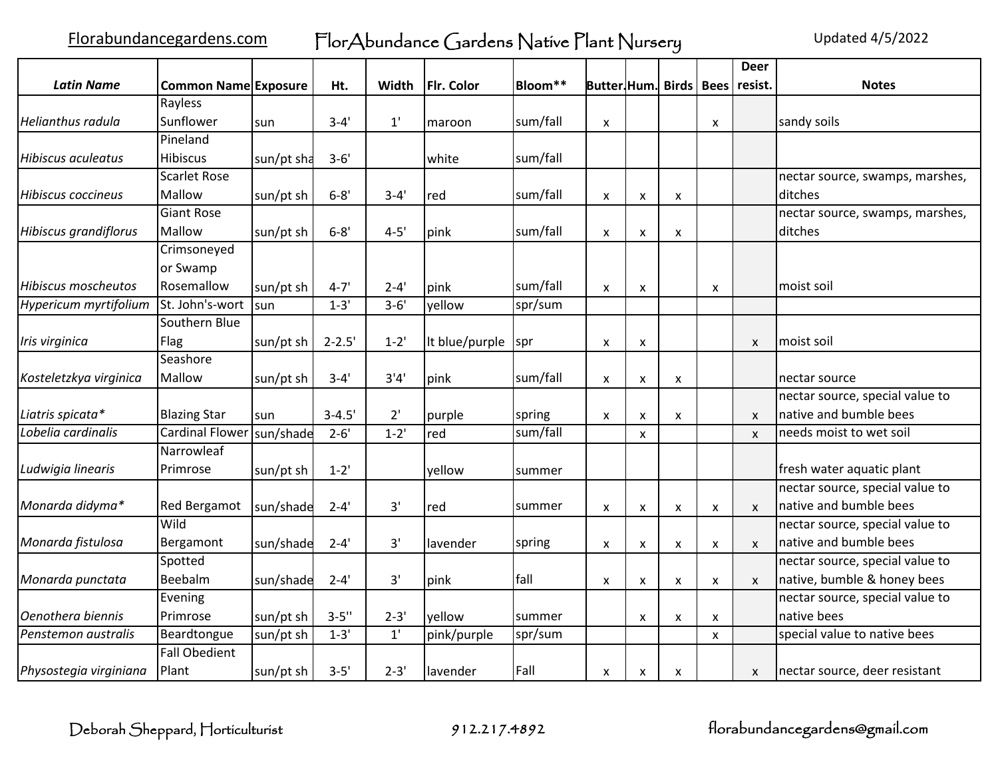Florabundancegardens.com FlorAbundance Gardens Native Plant Nursery Updated 4/5/2022

|                              |                             |              |            |          |                |            |                          |                           |                    |                    | <b>Deer</b>  |                                 |
|------------------------------|-----------------------------|--------------|------------|----------|----------------|------------|--------------------------|---------------------------|--------------------|--------------------|--------------|---------------------------------|
| <b>Latin Name</b>            | <b>Common Name Exposure</b> |              | Ht.        | Width    | Flr. Color     | Bloom**    | Butter Hum. Birds   Bees |                           |                    |                    | resist.      | <b>Notes</b>                    |
|                              | Rayless                     |              |            |          |                |            |                          |                           |                    |                    |              |                                 |
| <b>Helianthus radula</b>     | Sunflower                   | sun          | $3 - 4'$   | 1'       | maroon         | sum/fall   | X                        |                           |                    | X                  |              | sandy soils                     |
|                              | Pineland                    |              |            |          |                |            |                          |                           |                    |                    |              |                                 |
| <b>Hibiscus aculeatus</b>    | <b>Hibiscus</b>             | sun/pt sha   | $3 - 6'$   |          | white          | sum/fall   |                          |                           |                    |                    |              |                                 |
|                              | <b>Scarlet Rose</b>         |              |            |          |                |            |                          |                           |                    |                    |              | nectar source, swamps, marshes, |
| <b>Hibiscus coccineus</b>    | Mallow                      | sun/pt sh    | $6 - 8'$   | $3 - 4'$ | red            | sum/fall   | x                        | X                         | X                  |                    |              | ditches                         |
|                              | <b>Giant Rose</b>           |              |            |          |                |            |                          |                           |                    |                    |              | nectar source, swamps, marshes, |
| <b>Hibiscus grandiflorus</b> | Mallow                      | sun/pt sh    | $6 - 8'$   | $4 - 5'$ | pink           | sum/fall   | X                        | X                         | $\pmb{\times}$     |                    |              | ditches                         |
|                              | Crimsoneyed                 |              |            |          |                |            |                          |                           |                    |                    |              |                                 |
|                              | or Swamp                    |              |            |          |                |            |                          |                           |                    |                    |              |                                 |
| <b>Hibiscus moscheutos</b>   | Rosemallow                  | sun/pt sh    | $4 - 7'$   | $2 - 4'$ | pink           | sum/fall   | x                        | X                         |                    | X                  |              | lmoist soil                     |
| Hypericum myrtifolium        | St. John's-wort             | <b>I</b> sun | $1 - 3'$   | $3 - 6'$ | yellow         | spr/sum    |                          |                           |                    |                    |              |                                 |
|                              | Southern Blue               |              |            |          |                |            |                          |                           |                    |                    |              |                                 |
| Iris virginica               | Flag                        | sun/pt sh    | $2 - 2.5'$ | $1 - 2'$ | It blue/purple | <b>spr</b> | X                        | X                         |                    |                    | X            | Imoist soil                     |
|                              | Seashore                    |              |            |          |                |            |                          |                           |                    |                    |              |                                 |
| Kosteletzkya virginica       | Mallow                      | sun/pt sh    | $3 - 4'$   | 3'4'     | pink           | sum/fall   | x                        | X                         | X                  |                    |              | nectar source                   |
|                              |                             |              |            |          |                |            |                          |                           |                    |                    |              | nectar source, special value to |
| Liatris spicata*             | <b>Blazing Star</b>         | sun          | $3 - 4.5'$ | 2'       | purple         | spring     | x                        | X                         | X                  |                    | X            | native and bumble bees          |
| Lobelia cardinalis           | <b>Cardinal Flower</b>      | sun/shade    | $2 - 6'$   | $1 - 2'$ | red            | sum/fall   |                          | X                         |                    |                    | $\mathsf{x}$ | needs moist to wet soil         |
|                              | Narrowleaf                  |              |            |          |                |            |                          |                           |                    |                    |              |                                 |
| Ludwigia linearis            | Primrose                    | sun/pt sh    | $1 - 2'$   |          | yellow         | summer     |                          |                           |                    |                    |              | fresh water aquatic plant       |
|                              |                             |              |            |          |                |            |                          |                           |                    |                    |              | nectar source, special value to |
| Monarda didyma*              | <b>Red Bergamot</b>         | sun/shade    | $2 - 4'$   | 3'       | red            | summer     | x                        | X                         | X                  | X                  | $\mathsf{x}$ | native and bumble bees          |
|                              | Wild                        |              |            |          |                |            |                          |                           |                    |                    |              | nectar source, special value to |
| Monarda fistulosa            | Bergamont                   | sun/shade    | $2 - 4'$   | 3'       | lavender       | spring     | x                        | $\boldsymbol{\mathsf{x}}$ | $\pmb{\mathsf{X}}$ | X                  | $\mathsf{x}$ | native and bumble bees          |
|                              | Spotted                     |              |            |          |                |            |                          |                           |                    |                    |              | nectar source, special value to |
| Monarda punctata             | Beebalm                     | sun/shade    | $2 - 4'$   | 3'       | pink           | fall       | x                        | X                         | $\pmb{\times}$     | $\pmb{\mathsf{x}}$ | X            | native, bumble & honey bees     |
|                              | Evening                     |              |            |          |                |            |                          |                           |                    |                    |              | nectar source, special value to |
| Oenothera biennis            | Primrose                    | sun/pt sh    | $3 - 5''$  | $2 - 3'$ | yellow         | summer     |                          | X                         | X                  | X                  |              | native bees                     |
| Penstemon australis          | Beardtongue                 | sun/pt sh    | $1 - 3'$   | 1'       | pink/purple    | spr/sum    |                          |                           |                    | $\mathsf{x}$       |              | special value to native bees    |
|                              | <b>Fall Obedient</b>        |              |            |          |                |            |                          |                           |                    |                    |              |                                 |
| Physostegia virginiana       | Plant                       | sun/pt sh    | $3 - 5'$   | $2 - 3'$ | lavender       | Fall       | x                        | X                         | X                  |                    | X            | nectar source, deer resistant   |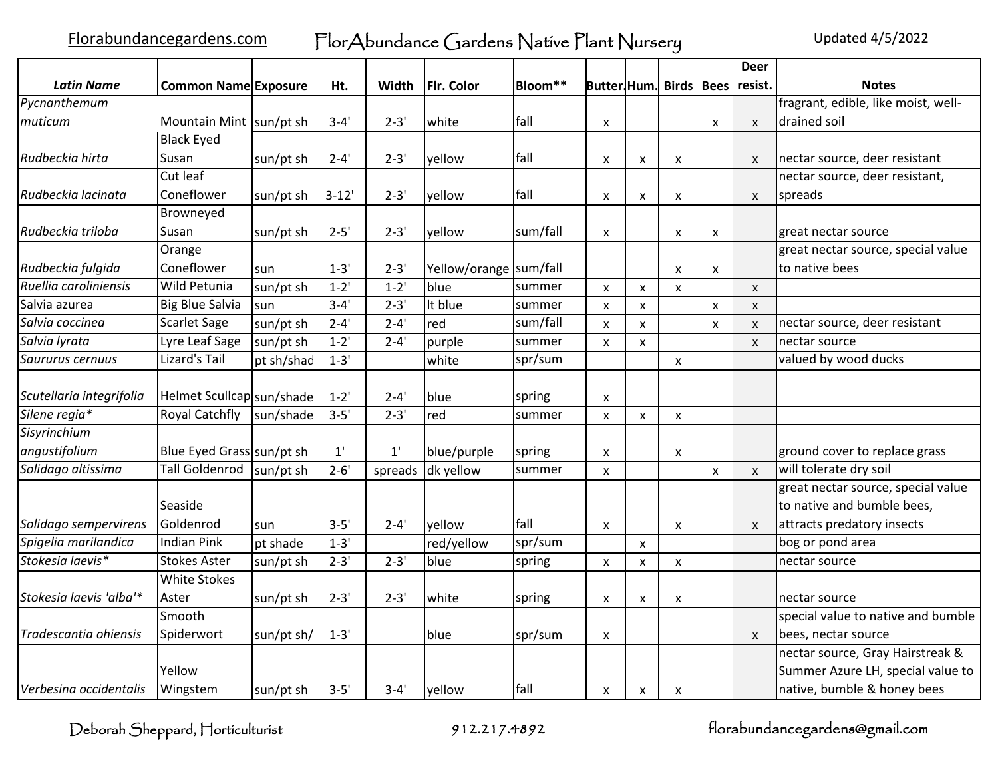|                          |                             |            |              |              |                        |          |                           |                    |                    |                    | <b>Deer</b>        |                                     |
|--------------------------|-----------------------------|------------|--------------|--------------|------------------------|----------|---------------------------|--------------------|--------------------|--------------------|--------------------|-------------------------------------|
| <b>Latin Name</b>        | <b>Common Name Exposure</b> |            | Ht.          | Width        | Flr. Color             | Bloom**  | Butter.Hum.               |                    | <b>Birds</b>       | <b>Bees</b>        | resist.            | <b>Notes</b>                        |
| Pycnanthemum             |                             |            |              |              |                        |          |                           |                    |                    |                    |                    | fragrant, edible, like moist, well- |
| muticum                  | Mountain Mint sun/pt sh     |            | $3 - 4'$     | $2 - 3'$     | white                  | fall     | X                         |                    |                    | $\mathsf{x}$       | $\mathsf{x}$       | drained soil                        |
|                          | <b>Black Eyed</b>           |            |              |              |                        |          |                           |                    |                    |                    |                    |                                     |
| Rudbeckia hirta          | Susan                       | sun/pt sh  | $2 - 4'$     | $2 - 3'$     | yellow                 | fall     | X                         | X                  | X                  |                    | $\mathsf{x}$       | nectar source, deer resistant       |
|                          | Cut leaf                    |            |              |              |                        |          |                           |                    |                    |                    |                    | nectar source, deer resistant,      |
| Rudbeckia lacinata       | Coneflower                  | sun/pt sh  | $3 - 12'$    | $2 - 3'$     | yellow                 | fall     | X                         | X                  | X                  |                    | X                  | spreads                             |
|                          | Browneyed                   |            |              |              |                        |          |                           |                    |                    |                    |                    |                                     |
| Rudbeckia triloba        | Susan                       | sun/pt sh  | $2 - 5'$     | $2 - 3'$     | yellow                 | sum/fall | X                         |                    | X                  | x                  |                    | great nectar source                 |
|                          | Orange                      |            |              |              |                        |          |                           |                    |                    |                    |                    | great nectar source, special value  |
| Rudbeckia fulgida        | Coneflower                  | sun        | $1 - 3'$     | $2 - 3'$     | Yellow/orange sum/fall |          |                           |                    | X                  | x                  |                    | to native bees                      |
| Ruellia caroliniensis    | <b>Wild Petunia</b>         | sun/pt sh  | $1 - 2'$     | $1 - 2'$     | blue                   | summer   | $\pmb{\times}$            | $\pmb{\mathsf{X}}$ | $\mathsf{x}$       |                    | $\pmb{\mathsf{X}}$ |                                     |
| Salvia azurea            | <b>Big Blue Salvia</b>      | sun        | $3 - 4'$     | $2 - 3'$     | It blue                | summer   | X                         | X                  |                    | $\pmb{\times}$     | X                  |                                     |
| Salvia coccinea          | <b>Scarlet Sage</b>         | sun/pt sh  | $2 - 4'$     | $2 - 4'$     | red                    | sum/fall | X                         | X                  |                    | $\mathsf{x}$       | X                  | nectar source, deer resistant       |
| Salvia lyrata            | Lyre Leaf Sage              | sun/pt sh  | $1 - 2'$     | $2 - 4'$     | purple                 | summer   | X                         | $\pmb{\mathsf{x}}$ |                    |                    | $\pmb{\times}$     | nectar source                       |
| Saururus cernuus         | Lizard's Tail               | pt sh/shad | $1 - 3'$     |              | white                  | spr/sum  |                           |                    | $\pmb{\mathsf{X}}$ |                    |                    | valued by wood ducks                |
|                          |                             |            |              |              |                        |          |                           |                    |                    |                    |                    |                                     |
| Scutellaria integrifolia | Helmet Scullcap sun/shade   |            | $1 - 2'$     | $2 - 4'$     | blue                   | spring   | X                         |                    |                    |                    |                    |                                     |
| Silene regia*            | <b>Royal Catchfly</b>       | sun/shade  | $3 - 5'$     | $2 - 3'$     | red                    | summer   | X                         | $\pmb{\mathsf{X}}$ | $\pmb{\mathsf{X}}$ |                    |                    |                                     |
| Sisyrinchium             |                             |            |              |              |                        |          |                           |                    |                    |                    |                    |                                     |
| angustifolium            | Blue Eyed Grass sun/pt sh   |            | $1^{\prime}$ | $1^{\prime}$ | blue/purple            | spring   | $\boldsymbol{\mathsf{x}}$ |                    | X                  |                    |                    | ground cover to replace grass       |
| Solidago altissima       | Tall Goldenrod              | sun/pt sh  | $2 - 6'$     | spreads      | dk yellow              | summer   | X                         |                    |                    | $\pmb{\mathsf{X}}$ | X                  | will tolerate dry soil              |
|                          |                             |            |              |              |                        |          |                           |                    |                    |                    |                    | great nectar source, special value  |
|                          | Seaside                     |            |              |              |                        |          |                           |                    |                    |                    |                    | to native and bumble bees,          |
| Solidago sempervirens    | Goldenrod                   | sun        | $3 - 5'$     | $2 - 4'$     | yellow                 | fall     | X                         |                    | X                  |                    | X                  | attracts predatory insects          |
| Spigelia marilandica     | <b>Indian Pink</b>          | pt shade   | $1 - 3'$     |              | red/yellow             | spr/sum  |                           | $\mathsf{x}$       |                    |                    |                    | bog or pond area                    |
| Stokesia laevis*         | <b>Stokes Aster</b>         | sun/pt sh  | $2 - 3'$     | $2 - 3'$     | blue                   | spring   | X                         | X                  | X                  |                    |                    | nectar source                       |
|                          | <b>White Stokes</b>         |            |              |              |                        |          |                           |                    |                    |                    |                    |                                     |
| Stokesia laevis 'alba'*  | Aster                       | sun/pt sh  | $2 - 3'$     | $2 - 3'$     | white                  | spring   | x                         | X                  | X                  |                    |                    | nectar source                       |
|                          | Smooth                      |            |              |              |                        |          |                           |                    |                    |                    |                    | special value to native and bumble  |
| Tradescantia ohiensis    | Spiderwort                  | sun/pt sh/ | $1 - 3'$     |              | blue                   | spr/sum  | X                         |                    |                    |                    | $\mathsf{x}$       | bees, nectar source                 |
|                          |                             |            |              |              |                        |          |                           |                    |                    |                    |                    | nectar source, Gray Hairstreak &    |
|                          | Yellow                      |            |              |              |                        |          |                           |                    |                    |                    |                    | Summer Azure LH, special value to   |
| Verbesina occidentalis   | Wingstem                    | sun/pt sh  | $3 - 5'$     | $3 - 4'$     | yellow                 | fall     | X                         | X                  | X                  |                    |                    | native, bumble & honey bees         |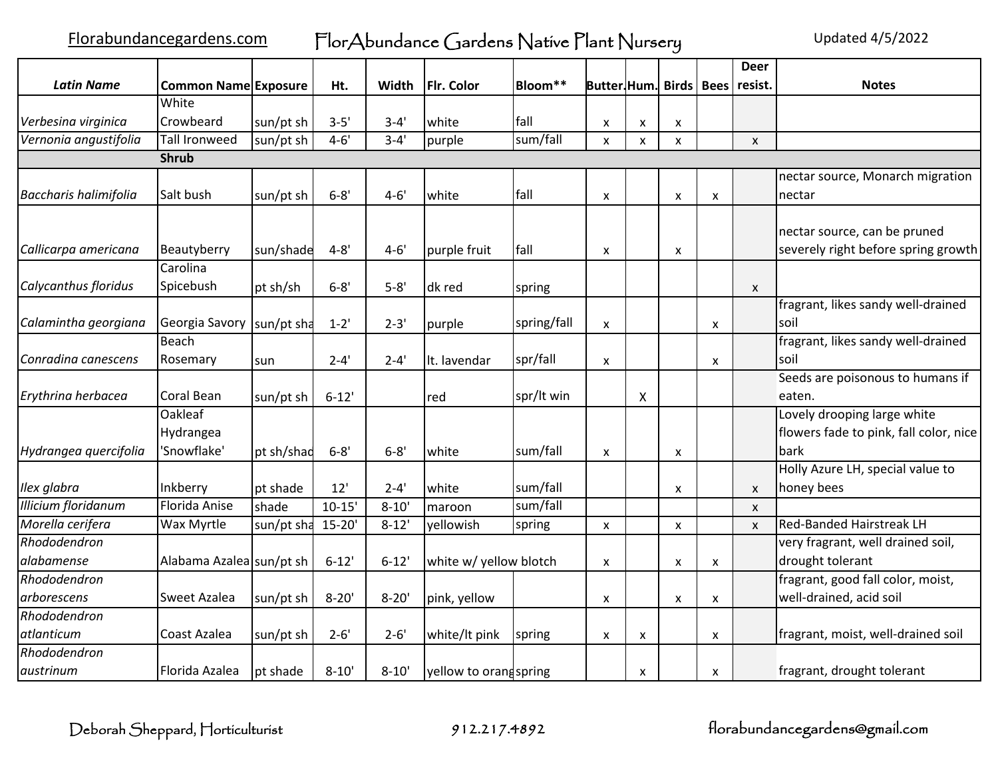Florabundancegardens.com FlorAbundance Gardens Native Plant Nursery Updated 4/5/2022

|                              |                             |            |            |           |                        |             |                                    |                           |              |   | <b>Deer</b>    |                                        |
|------------------------------|-----------------------------|------------|------------|-----------|------------------------|-------------|------------------------------------|---------------------------|--------------|---|----------------|----------------------------------------|
| <b>Latin Name</b>            | <b>Common Name Exposure</b> |            | Ht.        | Width     | Flr. Color             | Bloom**     | Butter Hum. Birds   Bees   resist. |                           |              |   |                | <b>Notes</b>                           |
|                              | White                       |            |            |           |                        |             |                                    |                           |              |   |                |                                        |
| Verbesina virginica          | Crowbeard                   | sun/pt sh  | $3 - 5'$   | $3 - 4'$  | white                  | fall        | X                                  | X                         | X            |   |                |                                        |
| Vernonia angustifolia        | <b>Tall Ironweed</b>        | sun/pt sh  | $4 - 6'$   | $3 - 4'$  | purple                 | sum/fall    | X                                  | $\boldsymbol{\mathsf{x}}$ | $\pmb{\chi}$ |   | $\pmb{\times}$ |                                        |
|                              | <b>Shrub</b>                |            |            |           |                        |             |                                    |                           |              |   |                |                                        |
|                              |                             |            |            |           |                        |             |                                    |                           |              |   |                | nectar source, Monarch migration       |
| <b>Baccharis halimifolia</b> | Salt bush                   | sun/pt sh  | $6 - 8'$   | $4 - 6'$  | white                  | fall        | $\boldsymbol{\mathsf{x}}$          |                           | X            | X |                | nectar                                 |
|                              |                             |            |            |           |                        |             |                                    |                           |              |   |                |                                        |
|                              |                             |            |            |           |                        |             |                                    |                           |              |   |                | nectar source, can be pruned           |
| Callicarpa americana         | Beautyberry<br>Carolina     | sun/shade  | $4 - 8'$   | $4 - 6'$  | purple fruit           | fall        | X                                  |                           | X            |   |                | severely right before spring growth    |
|                              |                             |            |            |           |                        |             |                                    |                           |              |   |                |                                        |
| Calycanthus floridus         | Spicebush                   | pt sh/sh   | $6 - 8'$   | $5 - 8'$  | dk red                 | spring      |                                    |                           |              |   | X              |                                        |
|                              |                             |            |            |           |                        |             |                                    |                           |              |   |                | fragrant, likes sandy well-drained     |
| Calamintha georgiana         | Georgia Savory              | sun/pt sha | $1 - 2'$   | $2 - 3'$  | purple                 | spring/fall | X                                  |                           |              | X |                | soil                                   |
|                              | <b>Beach</b>                |            |            |           |                        |             |                                    |                           |              |   |                | fragrant, likes sandy well-drained     |
| Conradina canescens          | Rosemary                    | sun        | $2 - 4'$   | $2 - 4'$  | It. lavendar           | spr/fall    | $\pmb{\times}$                     |                           |              | X |                | soil                                   |
|                              |                             |            |            |           |                        |             |                                    |                           |              |   |                | Seeds are poisonous to humans if       |
| Erythrina herbacea           | <b>Coral Bean</b>           | sun/pt sh  | $6 - 12'$  |           | red                    | spr/lt win  |                                    | X                         |              |   |                | eaten.                                 |
|                              | <b>Oakleaf</b>              |            |            |           |                        |             |                                    |                           |              |   |                | Lovely drooping large white            |
|                              | Hydrangea                   |            |            |           |                        |             |                                    |                           |              |   |                | flowers fade to pink, fall color, nice |
| Hydrangea quercifolia        | 'Snowflake'                 | pt sh/shad | $6 - 8'$   | $6 - 8'$  | white                  | sum/fall    | X                                  |                           | X            |   |                | bark                                   |
|                              |                             |            |            |           |                        |             |                                    |                           |              |   |                | Holly Azure LH, special value to       |
| Ilex glabra                  | Inkberry                    | pt shade   | 12'        | $2 - 4'$  | white                  | sum/fall    |                                    |                           | X            |   | X              | honey bees                             |
| <b>Illicium floridanum</b>   | Florida Anise               | shade      | $10 - 15'$ | $8 - 10'$ | maroon                 | sum/fall    |                                    |                           |              |   | $\mathsf{x}$   |                                        |
| Morella cerifera             | Wax Myrtle                  | sun/pt sha | $15 - 20'$ | $8 - 12'$ | yellowish              | spring      | X                                  |                           | $\pmb{\chi}$ |   | $\mathsf{x}$   | <b>Red-Banded Hairstreak LH</b>        |
| Rhododendron                 |                             |            |            |           |                        |             |                                    |                           |              |   |                | very fragrant, well drained soil,      |
| alabamense                   | Alabama Azalea sun/pt sh    |            | $6 - 12'$  | $6 - 12'$ | white w/ yellow blotch |             | X                                  |                           | X            | X |                | drought tolerant                       |
| Rhododendron                 |                             |            |            |           |                        |             |                                    |                           |              |   |                | fragrant, good fall color, moist,      |
| arborescens                  | <b>Sweet Azalea</b>         | sun/pt sh  | $8 - 20'$  | $8 - 20'$ | pink, yellow           |             | X                                  |                           | X            | X |                | well-drained, acid soil                |
| Rhododendron                 |                             |            |            |           |                        |             |                                    |                           |              |   |                |                                        |
| atlanticum                   | Coast Azalea                | sun/pt sh  | $2 - 6'$   | $2 - 6'$  | white/It pink          | spring      | X                                  | X                         |              | X |                | fragrant, moist, well-drained soil     |
| Rhododendron                 |                             |            |            |           |                        |             |                                    |                           |              |   |                |                                        |
| austrinum                    | Florida Azalea              | pt shade   | $8 - 10'$  | $8 - 10'$ | yellow to orang spring |             |                                    | X                         |              | X |                | fragrant, drought tolerant             |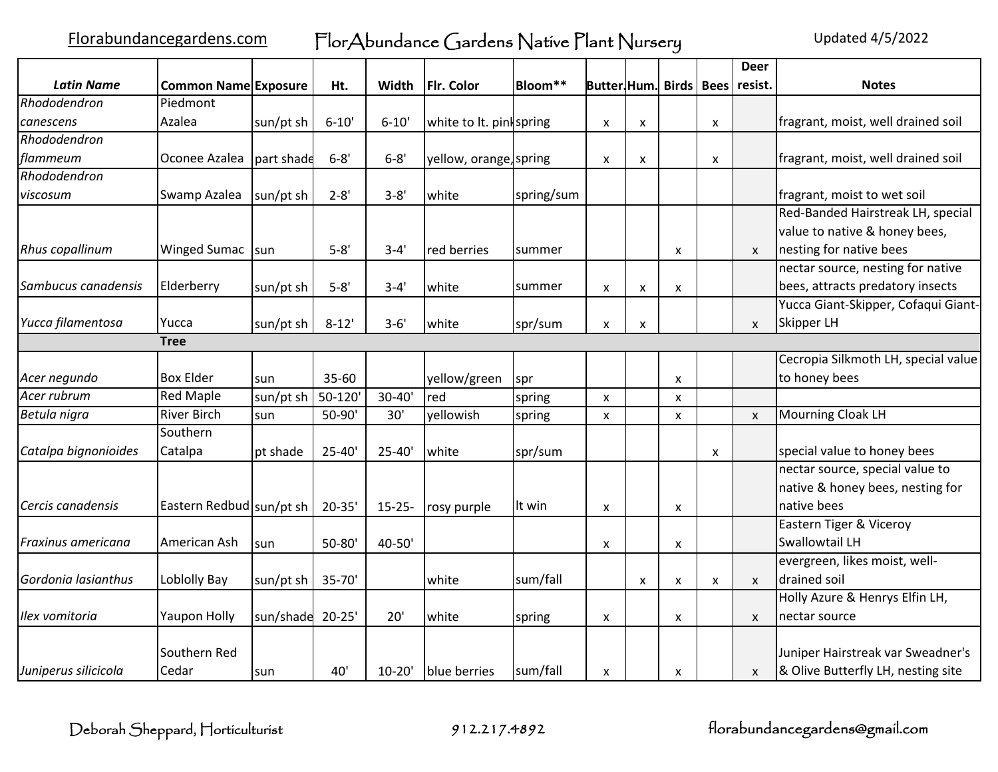Florabundancegardens.com FlorAbundance Gardens Native Plant Nursery Updated 4/5/2022

|                        |                             |            |             |             |                          |            |                                 |                           |                           |   | <b>Deer</b>  |                                     |
|------------------------|-----------------------------|------------|-------------|-------------|--------------------------|------------|---------------------------------|---------------------------|---------------------------|---|--------------|-------------------------------------|
| <b>Latin Name</b>      | <b>Common Name Exposure</b> |            | Ht.         | Width       | <b>Flr. Color</b>        | Bloom**    | <b>Butter Hum.</b> Birds   Bees |                           |                           |   | resist.      | <b>Notes</b>                        |
| Rhododendron           | Piedmont                    |            |             |             |                          |            |                                 |                           |                           |   |              |                                     |
| canescens              | Azalea                      | sun/pt sh  | $6 - 10'$   | $6 - 10'$   | white to lt. pint spring |            | X                               | $\boldsymbol{\mathsf{x}}$ |                           | x |              | fragrant, moist, well drained soil  |
| Rhododendron           |                             |            |             |             |                          |            |                                 |                           |                           |   |              |                                     |
| flammeum               | Oconee Azalea               | part shade | $6 - 8'$    | $6 - 8'$    | yellow, orange, spring   |            | x                               | X                         |                           | X |              | fragrant, moist, well drained soil  |
| Rhododendron           |                             |            |             |             |                          |            |                                 |                           |                           |   |              |                                     |
| viscosum               | Swamp Azalea                | sun/pt sh  | $2 - 8'$    | $3 - 8'$    | white                    | spring/sum |                                 |                           |                           |   |              | fragrant, moist to wet soil         |
|                        |                             |            |             |             |                          |            |                                 |                           |                           |   |              | Red-Banded Hairstreak LH, special   |
|                        |                             |            |             |             |                          |            |                                 |                           |                           |   |              | value to native & honey bees,       |
| <b>Rhus copallinum</b> | <b>Winged Sumac</b>         | sun        | $5 - 8'$    | $3 - 4'$    | red berries              | summer     |                                 |                           | X                         |   | $\mathsf{x}$ | nesting for native bees             |
|                        |                             |            |             |             |                          |            |                                 |                           |                           |   |              | nectar source, nesting for native   |
| Sambucus canadensis    | Elderberry                  | sun/pt sh  | $5 - 8'$    | $3 - 4'$    | white                    | summer     | X                               | $\boldsymbol{\mathsf{x}}$ | $\boldsymbol{\mathsf{x}}$ |   |              | bees, attracts predatory insects    |
|                        |                             |            |             |             |                          |            |                                 |                           |                           |   |              | Yucca Giant-Skipper, Cofaqui Giant- |
| Yucca filamentosa      | Yucca                       | sun/pt sh  | $8 - 12'$   | $3 - 6'$    | white                    | spr/sum    | X                               | $\boldsymbol{\mathsf{x}}$ |                           |   | $\mathsf{x}$ | Skipper LH                          |
|                        | <b>Tree</b>                 |            |             |             |                          |            |                                 |                           |                           |   |              |                                     |
|                        |                             |            |             |             |                          |            |                                 |                           |                           |   |              | Cecropia Silkmoth LH, special value |
| Acer negundo           | <b>Box Elder</b>            | sun        | 35-60       |             | yellow/green             | spr        |                                 |                           | $\boldsymbol{\mathsf{x}}$ |   |              | to honey bees                       |
| Acer rubrum            | <b>Red Maple</b>            | sun/pt sh  | $50 - 120'$ | $30 - 40'$  | red                      | spring     | $\pmb{\times}$                  |                           | $\boldsymbol{\mathsf{x}}$ |   |              |                                     |
| Betula nigra           | <b>River Birch</b>          | sun        | 50-90'      | 30'         | yellowish                | spring     | X                               |                           | $\boldsymbol{\mathsf{x}}$ |   | $\mathsf{x}$ | Mourning Cloak LH                   |
|                        | Southern                    |            |             |             |                          |            |                                 |                           |                           |   |              |                                     |
| Catalpa bignonioides   | Catalpa                     | pt shade   | $25 - 40'$  | $25 - 40'$  | white                    | spr/sum    |                                 |                           |                           | X |              | special value to honey bees         |
|                        |                             |            |             |             |                          |            |                                 |                           |                           |   |              | nectar source, special value to     |
|                        |                             |            |             |             |                          |            |                                 |                           |                           |   |              | native & honey bees, nesting for    |
| Cercis canadensis      | Eastern Redbud sun/pt sh    |            | $20 - 35'$  | $15 - 25 -$ | rosy purple              | llt win    | X                               |                           | X                         |   |              | native bees                         |
|                        |                             |            |             |             |                          |            |                                 |                           |                           |   |              | Eastern Tiger & Viceroy             |
| Fraxinus americana     | American Ash                | sun        | $50 - 80'$  | 40-50'      |                          |            | X                               |                           | X                         |   |              | Swallowtail LH                      |
|                        |                             |            |             |             |                          |            |                                 |                           |                           |   |              | evergreen, likes moist, well-       |
| Gordonia lasianthus    | Loblolly Bay                | sun/pt sh  | 35-70'      |             | white                    | sum/fall   |                                 | $\boldsymbol{\mathsf{x}}$ | X                         | X | X            | drained soil                        |
|                        |                             |            |             |             |                          |            |                                 |                           |                           |   |              | Holly Azure & Henrys Elfin LH,      |
| Ilex vomitoria         | <b>Yaupon Holly</b>         | sun/shade  | $20 - 25'$  | 20'         | white                    | spring     | x                               |                           | X                         |   | $\mathsf{x}$ | nectar source                       |
|                        |                             |            |             |             |                          |            |                                 |                           |                           |   |              |                                     |
|                        | Southern Red                |            |             |             |                          |            |                                 |                           |                           |   |              | Juniper Hairstreak var Sweadner's   |
| Juniperus silicicola   | Cedar                       | Isun       | 40'         | $10 - 20'$  | blue berries             | sum/fall   | X                               |                           | $\boldsymbol{\mathsf{x}}$ |   | X            | & Olive Butterfly LH, nesting site  |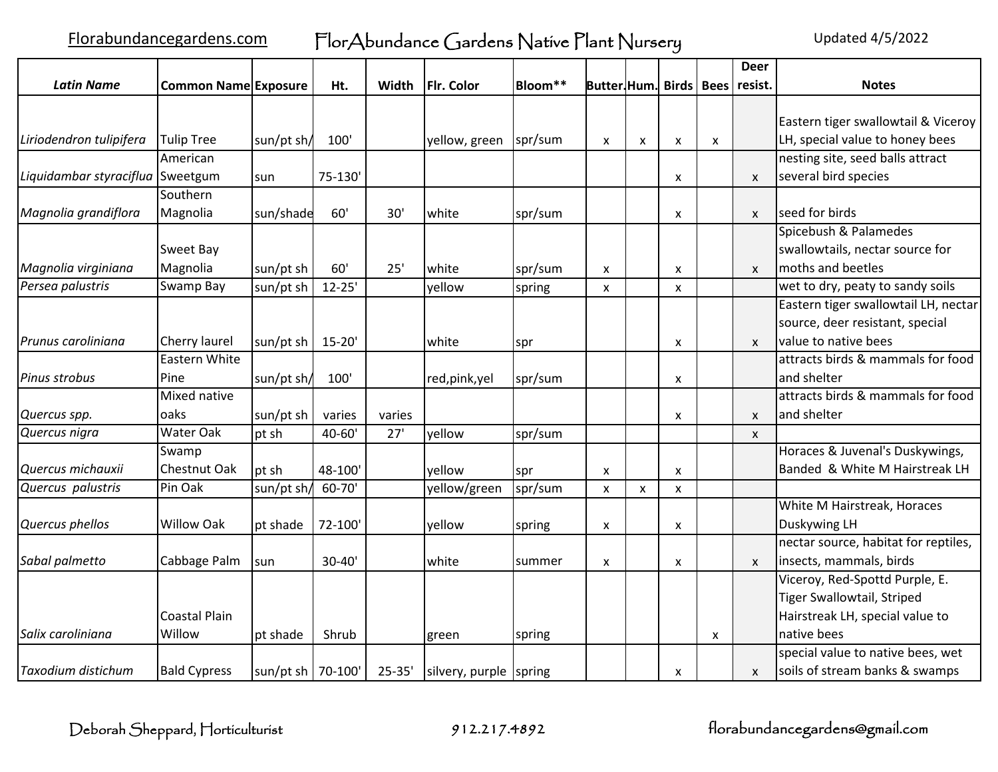|                                  |                             |                     |            |            |                        |         |                           |                |                           |   | <b>Deer</b>               |                                      |
|----------------------------------|-----------------------------|---------------------|------------|------------|------------------------|---------|---------------------------|----------------|---------------------------|---|---------------------------|--------------------------------------|
| <b>Latin Name</b>                | <b>Common Name Exposure</b> |                     | Ht.        | Width      | <b>Flr. Color</b>      | Bloom** | <b>Butter Hum.</b>        |                |                           |   | Birds   Bees   resist.    | <b>Notes</b>                         |
|                                  |                             |                     |            |            |                        |         |                           |                |                           |   |                           |                                      |
|                                  |                             |                     |            |            |                        |         |                           |                |                           |   |                           | Eastern tiger swallowtail & Viceroy  |
| Liriodendron tulipifera          | <b>Tulip Tree</b>           | sun/pt sh/          | 100'       |            | yellow, green          | spr/sum | $\boldsymbol{\mathsf{x}}$ | X              | $\pmb{\mathsf{X}}$        | X |                           | LH, special value to honey bees      |
|                                  | American                    |                     |            |            |                        |         |                           |                |                           |   |                           | nesting site, seed balls attract     |
| Liquidambar styraciflua Sweetgum |                             | sun                 | 75-130'    |            |                        |         |                           |                | x                         |   | X                         | several bird species                 |
|                                  | Southern                    |                     |            |            |                        |         |                           |                |                           |   |                           |                                      |
| Magnolia grandiflora             | Magnolia                    | sun/shade           | 60'        | 30'        | white                  | spr/sum |                           |                | x                         |   | $\mathsf{x}$              | Iseed for birds                      |
|                                  |                             |                     |            |            |                        |         |                           |                |                           |   |                           | Spicebush & Palamedes                |
|                                  | Sweet Bay                   |                     |            |            |                        |         |                           |                |                           |   |                           | swallowtails, nectar source for      |
| Magnolia virginiana              | Magnolia                    | sun/pt sh           | 60'        | 25'        | white                  | spr/sum | X                         |                | X                         |   | $\mathsf{x}$              | moths and beetles                    |
| Persea palustris                 | Swamp Bay                   | sun/pt sh           | $12 - 25'$ |            | yellow                 | spring  | $\boldsymbol{\mathsf{x}}$ |                | X                         |   |                           | wet to dry, peaty to sandy soils     |
|                                  |                             |                     |            |            |                        |         |                           |                |                           |   |                           | Eastern tiger swallowtail LH, nectar |
|                                  |                             |                     |            |            |                        |         |                           |                |                           |   |                           | source, deer resistant, special      |
| Prunus caroliniana               | Cherry laurel               | sun/pt sh   15-20'  |            |            | white                  | spr     |                           |                | X                         |   | $\mathsf{x}$              | value to native bees                 |
|                                  | Eastern White               |                     |            |            |                        |         |                           |                |                           |   |                           | attracts birds & mammals for food    |
| Pinus strobus                    | Pine                        | sun/pt sh/          | 100'       |            | red,pink,yel           | spr/sum |                           |                | X                         |   |                           | and shelter                          |
|                                  | Mixed native                |                     |            |            |                        |         |                           |                |                           |   |                           | attracts birds & mammals for food    |
| Quercus spp.                     | oaks                        | sun/pt sh           | varies     | varies     |                        |         |                           |                | X                         |   | $\boldsymbol{\mathsf{x}}$ | and shelter                          |
| Quercus nigra                    | <b>Water Oak</b>            | pt sh               | 40-60'     | 27'        | yellow                 | spr/sum |                           |                |                           |   | $\mathsf{x}$              |                                      |
|                                  | Swamp                       |                     |            |            |                        |         |                           |                |                           |   |                           | Horaces & Juvenal's Duskywings,      |
| Quercus michauxii                | <b>Chestnut Oak</b>         | pt sh               | 48-100'    |            | yellow                 | spr]    | X                         |                | $\boldsymbol{\mathsf{x}}$ |   |                           | Banded & White M Hairstreak LH       |
| Quercus palustris                | Pin Oak                     | sun/pt sh/          | 60-70'     |            | yellow/green           | spr/sum | $\boldsymbol{\mathsf{x}}$ | $\pmb{\times}$ | $\mathsf{x}$              |   |                           |                                      |
|                                  |                             |                     |            |            |                        |         |                           |                |                           |   |                           | White M Hairstreak, Horaces          |
| Quercus phellos                  | Willow Oak                  | pt shade            | 72-100'    |            | yellow                 | spring  | X                         |                | X                         |   |                           | Duskywing LH                         |
|                                  |                             |                     |            |            |                        |         |                           |                |                           |   |                           | nectar source, habitat for reptiles, |
| Sabal palmetto                   | Cabbage Palm                | sun                 | $30 - 40'$ |            | white                  | summer  | $\boldsymbol{\mathsf{x}}$ |                | X                         |   | $\boldsymbol{\mathsf{x}}$ | insects, mammals, birds              |
|                                  |                             |                     |            |            |                        |         |                           |                |                           |   |                           | Viceroy, Red-Spottd Purple, E.       |
|                                  |                             |                     |            |            |                        |         |                           |                |                           |   |                           | Tiger Swallowtail, Striped           |
|                                  | <b>Coastal Plain</b>        |                     |            |            |                        |         |                           |                |                           |   |                           | Hairstreak LH, special value to      |
| Salix caroliniana                | Willow                      | pt shade            | Shrub      |            | green                  | spring  |                           |                |                           | X |                           | native bees                          |
|                                  |                             |                     |            |            |                        |         |                           |                |                           |   |                           | special value to native bees, wet    |
| Taxodium distichum               | <b>Bald Cypress</b>         | sun/pt sh   70-100' |            | $25 - 35'$ | silvery, purple spring |         |                           |                | X                         |   | $\mathsf{x}$              | soils of stream banks & swamps       |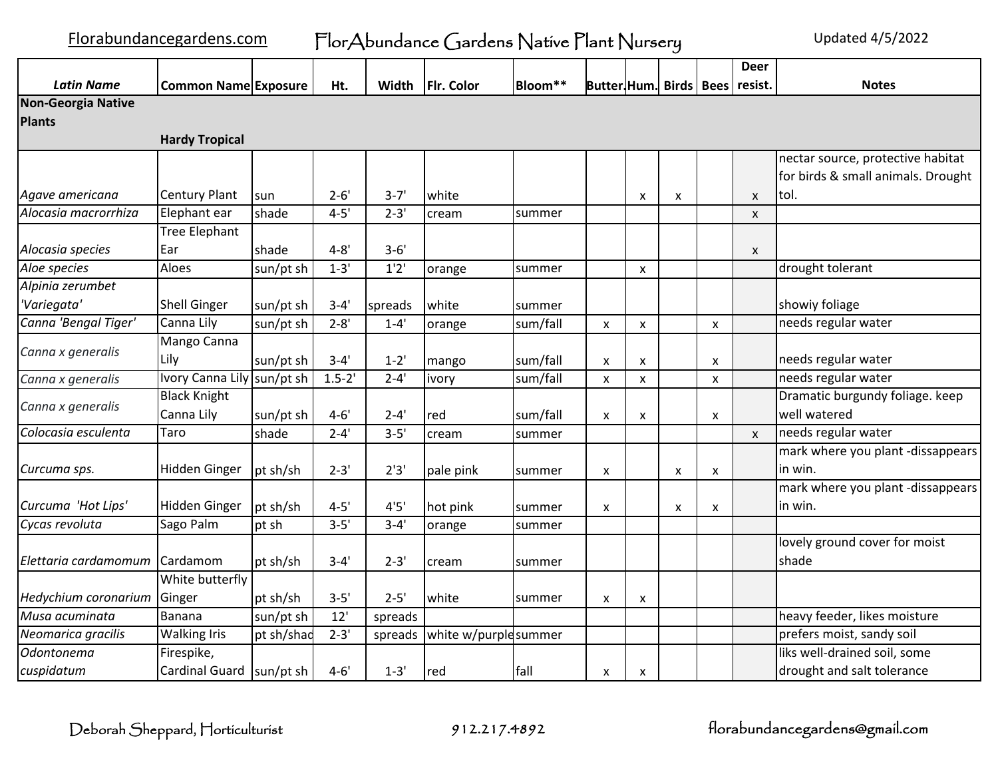|                           |                             |            |            |          |                      |          |                                 |                    |   |                    | <b>Deer</b>  |                                    |
|---------------------------|-----------------------------|------------|------------|----------|----------------------|----------|---------------------------------|--------------------|---|--------------------|--------------|------------------------------------|
| <b>Latin Name</b>         | <b>Common Name Exposure</b> |            | Ht.        | Width    | Flr. Color           | Bloom**  | <b>Butter Hum.</b> Birds   Bees |                    |   |                    | resist.      | <b>Notes</b>                       |
| <b>Non-Georgia Native</b> |                             |            |            |          |                      |          |                                 |                    |   |                    |              |                                    |
| <b>Plants</b>             |                             |            |            |          |                      |          |                                 |                    |   |                    |              |                                    |
|                           | <b>Hardy Tropical</b>       |            |            |          |                      |          |                                 |                    |   |                    |              |                                    |
|                           |                             |            |            |          |                      |          |                                 |                    |   |                    |              | nectar source, protective habitat  |
|                           |                             |            |            |          |                      |          |                                 |                    |   |                    |              | for birds & small animals. Drought |
| Agave americana           | <b>Century Plant</b>        | sun        | $2 - 6'$   | $3 - 7'$ | white                |          |                                 | X                  | X |                    | X            | tol.                               |
| Alocasia macrorrhiza      | Elephant ear                | shade      | $4 - 5'$   | $2 - 3'$ | cream                | summer   |                                 |                    |   |                    | X            |                                    |
|                           | Tree Elephant               |            |            |          |                      |          |                                 |                    |   |                    |              |                                    |
| Alocasia species          | Ear                         | shade      | $4 - 8'$   | $3 - 6'$ |                      |          |                                 |                    |   |                    | X            |                                    |
| Aloe species              | Aloes                       | sun/pt sh  | $1 - 3'$   | 1'2'     | orange               | summer   |                                 | $\pmb{\mathsf{x}}$ |   |                    |              | drought tolerant                   |
| Alpinia zerumbet          |                             |            |            |          |                      |          |                                 |                    |   |                    |              |                                    |
| 'Variegata'               | <b>Shell Ginger</b>         | sun/pt sh  | $3 - 4'$   | spreads  | white                | summer   |                                 |                    |   |                    |              | showiy foliage                     |
| Canna 'Bengal Tiger'      | Canna Lily                  | sun/pt sh  | $2 - 8'$   | $1 - 4'$ | orange               | sum/fall | X                               | $\pmb{\chi}$       |   | X                  |              | needs regular water                |
|                           | Mango Canna                 |            |            |          |                      |          |                                 |                    |   |                    |              |                                    |
| Canna x generalis         | Lily                        | sun/pt sh  | $3 - 4'$   | $1 - 2'$ | mango                | sum/fall | x                               | X                  |   | X                  |              | needs regular water                |
| Canna x generalis         | Ivory Canna Lily sun/pt sh  |            | $1.5 - 2'$ | $2 - 4'$ | ivory                | sum/fall | X                               | X                  |   | $\pmb{\mathsf{X}}$ |              | needs regular water                |
|                           | <b>Black Knight</b>         |            |            |          |                      |          |                                 |                    |   |                    |              | Dramatic burgundy foliage. keep    |
| Canna x generalis         | Canna Lily                  | sun/pt sh  | $4 - 6'$   | $2 - 4'$ | red                  | sum/fall | X                               | X                  |   | $\pmb{\mathsf{x}}$ |              | well watered                       |
| Colocasia esculenta       | Taro                        | shade      | $2 - 4'$   | $3 - 5'$ | cream                | summer   |                                 |                    |   |                    | $\mathsf{x}$ | needs regular water                |
|                           |                             |            |            |          |                      |          |                                 |                    |   |                    |              | mark where you plant -dissappears  |
| Curcuma sps.              | <b>Hidden Ginger</b>        | pt sh/sh   | $2 - 3'$   | 2'3'     | pale pink            | summer   | x                               |                    | X | X                  |              | in win.                            |
|                           |                             |            |            |          |                      |          |                                 |                    |   |                    |              | mark where you plant -dissappears  |
| Curcuma 'Hot Lips'        | Hidden Ginger               | pt sh/sh   | $4 - 5'$   | 4'5'     | hot pink             | summer   | x                               |                    | X | X                  |              | in win.                            |
| Cycas revoluta            | Sago Palm                   | pt sh      | $3 - 5'$   | $3 - 4'$ | orange               | summer   |                                 |                    |   |                    |              |                                    |
|                           |                             |            |            |          |                      |          |                                 |                    |   |                    |              | lovely ground cover for moist      |
| Elettaria cardamomum      | Cardamom                    | pt sh/sh   | $3 - 4'$   | $2 - 3'$ | cream                | summer   |                                 |                    |   |                    |              | shade                              |
|                           | White butterfly             |            |            |          |                      |          |                                 |                    |   |                    |              |                                    |
| Hedychium coronarium      | Ginger                      | pt sh/sh   | $3 - 5'$   | $2 - 5'$ | white                | summer   | x                               | X                  |   |                    |              |                                    |
| Musa acuminata            | Banana                      | sun/pt sh  | 12'        | spreads  |                      |          |                                 |                    |   |                    |              | heavy feeder, likes moisture       |
| Neomarica gracilis        | <b>Walking Iris</b>         | pt sh/shad | $2 - 3'$   | spreads  | white w/purplesummer |          |                                 |                    |   |                    |              | prefers moist, sandy soil          |
| Odontonema                | Firespike,                  |            |            |          |                      |          |                                 |                    |   |                    |              | liks well-drained soil, some       |
| cuspidatum                | <b>Cardinal Guard</b>       | sun/pt sh  | $4 - 6'$   | $1 - 3'$ | red                  | fall     | x                               | X                  |   |                    |              | drought and salt tolerance         |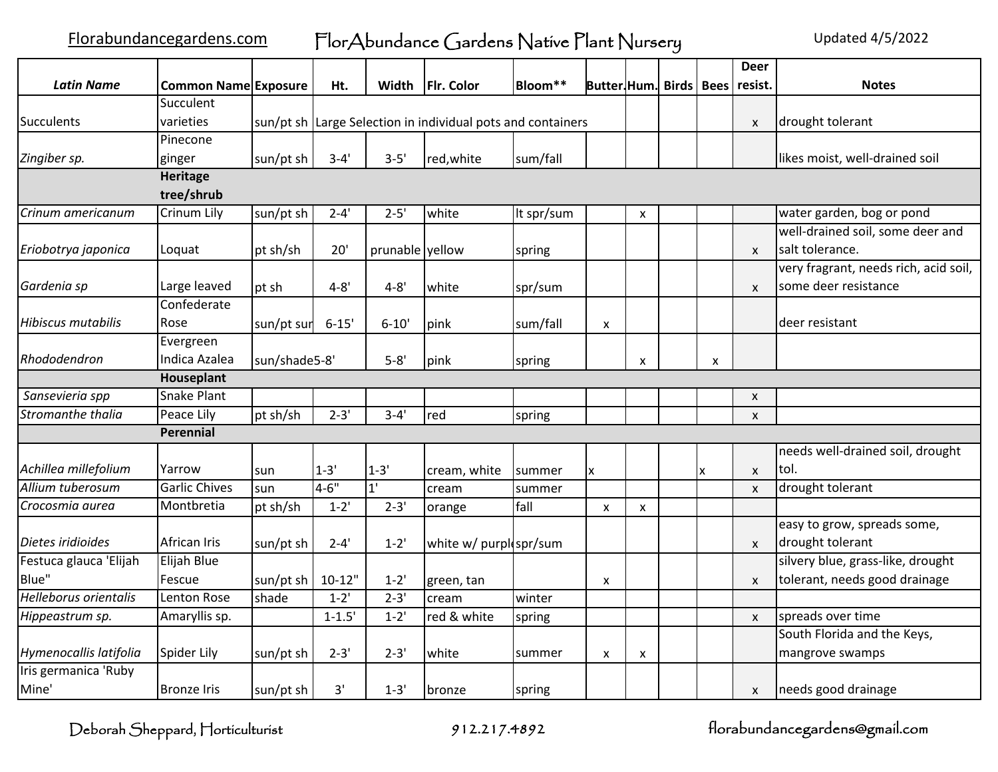Florabundancegardens.com FlorAbundance Gardens Native Plant Nursery Updated 4/5/2022

|                        |                             |               |            |                 |                                                             |            |                                 |   |   | <b>Deer</b>  |                                       |
|------------------------|-----------------------------|---------------|------------|-----------------|-------------------------------------------------------------|------------|---------------------------------|---|---|--------------|---------------------------------------|
| <b>Latin Name</b>      | <b>Common Name Exposure</b> |               | Ht.        | Width           | Flr. Color                                                  | Bloom**    | <b>Butter Hum. Birds   Bees</b> |   |   | resist.      | <b>Notes</b>                          |
|                        | Succulent                   |               |            |                 |                                                             |            |                                 |   |   |              |                                       |
| Succulents             | varieties                   |               |            |                 | sun/pt sh Large Selection in individual pots and containers |            |                                 |   |   | $\mathsf{x}$ | drought tolerant                      |
|                        | Pinecone                    |               |            |                 |                                                             |            |                                 |   |   |              |                                       |
| Zingiber sp.           | ginger                      | sun/pt sh     | $3 - 4'$   | $3 - 5'$        | red, white                                                  | sum/fall   |                                 |   |   |              | likes moist, well-drained soil        |
|                        | Heritage                    |               |            |                 |                                                             |            |                                 |   |   |              |                                       |
|                        | tree/shrub                  |               |            |                 |                                                             |            |                                 |   |   |              |                                       |
| Crinum americanum      | Crinum Lily                 | sun/pt sh     | $2 - 4'$   | $2 - 5'$        | white                                                       | It spr/sum |                                 | X |   |              | water garden, bog or pond             |
|                        |                             |               |            |                 |                                                             |            |                                 |   |   |              | well-drained soil, some deer and      |
| Eriobotrya japonica    | Loquat                      | pt sh/sh      | 20'        | prunable yellow |                                                             | spring     |                                 |   |   | $\mathsf{x}$ | salt tolerance.                       |
|                        |                             |               |            |                 |                                                             |            |                                 |   |   |              | very fragrant, needs rich, acid soil, |
| Gardenia sp            | Large leaved                | pt sh         | $4 - 8'$   | $4 - 8'$        | white                                                       | spr/sum    |                                 |   |   | X            | some deer resistance                  |
|                        | Confederate                 |               |            |                 |                                                             |            |                                 |   |   |              |                                       |
| Hibiscus mutabilis     | Rose                        | sun/pt sur    | $6 - 15'$  | $6 - 10'$       | pink                                                        | sum/fall   | X                               |   |   |              | deer resistant                        |
|                        | Evergreen                   |               |            |                 |                                                             |            |                                 |   |   |              |                                       |
| Rhododendron           | Indica Azalea               | sun/shade5-8' |            | $5 - 8'$        | pink                                                        | spring     |                                 | X | X |              |                                       |
|                        | Houseplant                  |               |            |                 |                                                             |            |                                 |   |   |              |                                       |
| Sansevieria spp        | Snake Plant                 |               |            |                 |                                                             |            |                                 |   |   | X            |                                       |
| Stromanthe thalia      | Peace Lily                  | pt sh/sh      | $2 - 3'$   | $3 - 4'$        | red                                                         | spring     |                                 |   |   | $\mathsf{x}$ |                                       |
|                        | Perennial                   |               |            |                 |                                                             |            |                                 |   |   |              |                                       |
|                        |                             |               |            |                 |                                                             |            |                                 |   |   |              | needs well-drained soil, drought      |
| Achillea millefolium   | Yarrow                      | sun           | $1 - 3'$   | $1 - 3'$        | cream, white                                                | summer     | X                               |   | X | $\mathsf{x}$ | tol.                                  |
| Allium tuberosum       | <b>Garlic Chives</b>        | sun           | $4 - 6"$   | 1'              | cream                                                       | summer     |                                 |   |   | X            | drought tolerant                      |
| Crocosmia aurea        | Montbretia                  | pt sh/sh      | $1 - 2'$   | $2 - 3'$        | orange                                                      | fall       | X                               | X |   |              |                                       |
|                        |                             |               |            |                 |                                                             |            |                                 |   |   |              | easy to grow, spreads some,           |
| Dietes iridioides      | African Iris                | sun/pt sh     | $2 - 4'$   | $1 - 2'$        | white w/ purplespr/sum                                      |            |                                 |   |   | $\mathsf{x}$ | drought tolerant                      |
| Festuca glauca 'Elijah | Elijah Blue                 |               |            |                 |                                                             |            |                                 |   |   |              | silvery blue, grass-like, drought     |
| Blue"                  | Fescue                      | sun/pt sh     | $10 - 12"$ | $1 - 2'$        | green, tan                                                  |            | X                               |   |   | $\mathsf{x}$ | tolerant, needs good drainage         |
| Helleborus orientalis  | Lenton Rose                 | shade         | $1 - 2'$   | $2 - 3'$        | cream                                                       | winter     |                                 |   |   |              |                                       |
| Hippeastrum sp.        | Amaryllis sp.               |               | $1 - 1.5'$ | $1 - 2'$        | red & white                                                 | spring     |                                 |   |   | $\mathsf{x}$ | spreads over time                     |
|                        |                             |               |            |                 |                                                             |            |                                 |   |   |              | South Florida and the Keys,           |
| Hymenocallis latifolia | Spider Lily                 | sun/pt sh     | $2 - 3'$   | $2 - 3'$        | white                                                       | summer     | X                               | X |   |              | mangrove swamps                       |
| Iris germanica 'Ruby   |                             |               |            |                 |                                                             |            |                                 |   |   |              |                                       |
| Mine'                  | <b>Bronze Iris</b>          | sun/pt sh     | 3'         | $1 - 3'$        | <b>bronze</b>                                               | spring     |                                 |   |   | X            | needs good drainage                   |

Deborah Sheppard, Horticulturist 912.217.4892 florabundancegardens@gmail.com